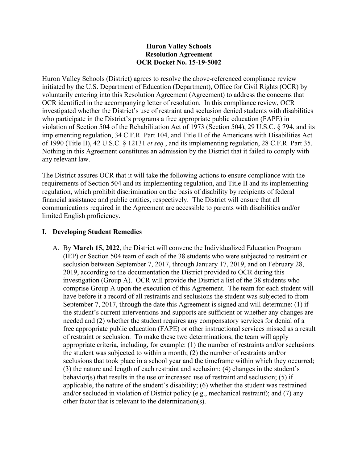### **Huron Valley Schools Resolution Agreement OCR Docket No. 15-19-5002**

Huron Valley Schools (District) agrees to resolve the above-referenced compliance review initiated by the U.S. Department of Education (Department), Office for Civil Rights (OCR) by voluntarily entering into this Resolution Agreement (Agreement) to address the concerns that OCR identified in the accompanying letter of resolution. In this compliance review, OCR investigated whether the District's use of restraint and seclusion denied students with disabilities who participate in the District's programs a free appropriate public education (FAPE) in violation of Section 504 of the Rehabilitation Act of 1973 (Section 504), 29 U.S.C. § 794, and its implementing regulation, 34 C.F.R. Part 104, and Title II of the Americans with Disabilities Act of 1990 (Title II), 42 U.S.C. § 12131 *et seq.*, and its implementing regulation, 28 C.F.R. Part 35. Nothing in this Agreement constitutes an admission by the District that it failed to comply with any relevant law.

The District assures OCR that it will take the following actions to ensure compliance with the requirements of Section 504 and its implementing regulation, and Title II and its implementing regulation, which prohibit discrimination on the basis of disability by recipients of federal financial assistance and public entities, respectively. The District will ensure that all communications required in the Agreement are accessible to parents with disabilities and/or limited English proficiency.

### **I. Developing Student Remedies**

A. By **March 15, 2022**, the District will convene the Individualized Education Program (IEP) or Section 504 team of each of the 38 students who were subjected to restraint or seclusion between September 7, 2017, through January 17, 2019, and on February 28, 2019, according to the documentation the District provided to OCR during this investigation (Group A). OCR will provide the District a list of the 38 students who comprise Group A upon the execution of this Agreement. The team for each student will have before it a record of all restraints and seclusions the student was subjected to from September 7, 2017, through the date this Agreement is signed and will determine: (1) if the student's current interventions and supports are sufficient or whether any changes are needed and (2) whether the student requires any compensatory services for denial of a free appropriate public education (FAPE) or other instructional services missed as a result of restraint or seclusion. To make these two determinations, the team will apply appropriate criteria, including, for example: (1) the number of restraints and/or seclusions the student was subjected to within a month; (2) the number of restraints and/or seclusions that took place in a school year and the timeframe within which they occurred; (3) the nature and length of each restraint and seclusion; (4) changes in the student's behavior(s) that results in the use or increased use of restraint and seclusion; (5) if applicable, the nature of the student's disability; (6) whether the student was restrained and/or secluded in violation of District policy (e.g., mechanical restraint); and (7) any other factor that is relevant to the determination(s).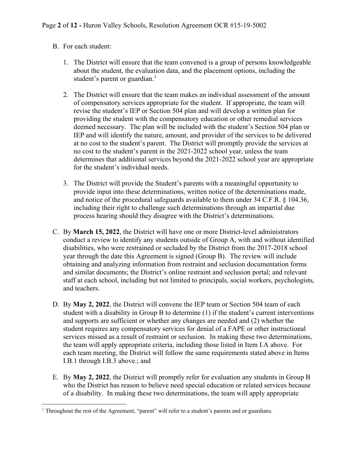### B. For each student:

- 1. The District will ensure that the team convened is a group of persons knowledgeable about the student, the evaluation data, and the placement options, including the student's parent or guardian.<sup>[1](#page-1-0)</sup>
- 2. The District will ensure that the team makes an individual assessment of the amount of compensatory services appropriate for the student. If appropriate, the team will revise the student's IEP or Section 504 plan and will develop a written plan for providing the student with the compensatory education or other remedial services deemed necessary. The plan will be included with the student's Section 504 plan or IEP and will identify the nature, amount, and provider of the services to be delivered at no cost to the student's parent. The District will promptly provide the services at no cost to the student's parent in the 2021-2022 school year, unless the team determines that additional services beyond the 2021-2022 school year are appropriate for the student's individual needs.
- 3. The District will provide the Student's parents with a meaningful opportunity to provide input into these determinations, written notice of the determinations made, and notice of the procedural safeguards available to them under 34 C.F.R. § 104.36, including their right to challenge such determinations through an impartial due process hearing should they disagree with the District's determinations.
- C. By **March 15, 2022**, the District will have one or more District-level administrators conduct a review to identify any students outside of Group A, with and without identified disabilities, who were restrained or secluded by the District from the 2017-2018 school year through the date this Agreement is signed (Group B). The review will include obtaining and analyzing information from restraint and seclusion documentation forms and similar documents; the District's online restraint and seclusion portal; and relevant staff at each school, including but not limited to principals, social workers, psychologists, and teachers.
- D. By **May 2, 2022**, the District will convene the IEP team or Section 504 team of each student with a disability in Group B to determine (1) if the student's current interventions and supports are sufficient or whether any changes are needed and (2) whether the student requires any compensatory services for denial of a FAPE or other instructional services missed as a result of restraint or seclusion. In making these two determinations, the team will apply appropriate criteria, including those listed in Item I.A above. For each team meeting, the District will follow the same requirements stated above in Items I.B.1 through I.B.3 above.; and
- E. By **May 2, 2022**, the District will promptly refer for evaluation any students in Group B who the District has reason to believe need special education or related services because of a disability. In making these two determinations, the team will apply appropriate

<span id="page-1-0"></span><sup>&</sup>lt;sup>1</sup> Throughout the rest of the Agreement, "parent" will refer to a student's parents and or guardians.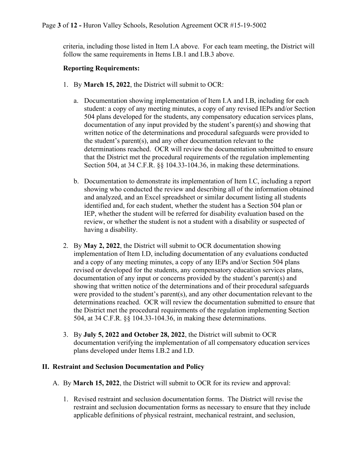criteria, including those listed in Item I.A above. For each team meeting, the District will follow the same requirements in Items I.B.1 and I.B.3 above.

### **Reporting Requirements:**

- 1. By **March 15, 2022**, the District will submit to OCR:
	- a. Documentation showing implementation of Item I.A and I.B, including for each student: a copy of any meeting minutes, a copy of any revised IEPs and/or Section 504 plans developed for the students, any compensatory education services plans, documentation of any input provided by the student's parent(s) and showing that written notice of the determinations and procedural safeguards were provided to the student's parent(s), and any other documentation relevant to the determinations reached. OCR will review the documentation submitted to ensure that the District met the procedural requirements of the regulation implementing Section 504, at 34 C.F.R. §§ 104.33-104.36, in making these determinations.
	- b. Documentation to demonstrate its implementation of Item I.C, including a report showing who conducted the review and describing all of the information obtained and analyzed, and an Excel spreadsheet or similar document listing all students identified and, for each student, whether the student has a Section 504 plan or IEP, whether the student will be referred for disability evaluation based on the review, or whether the student is not a student with a disability or suspected of having a disability.
- 2. By **May 2, 2022**, the District will submit to OCR documentation showing implementation of Item I.D, including documentation of any evaluations conducted and a copy of any meeting minutes, a copy of any IEPs and/or Section 504 plans revised or developed for the students, any compensatory education services plans, documentation of any input or concerns provided by the student's parent(s) and showing that written notice of the determinations and of their procedural safeguards were provided to the student's parent(s), and any other documentation relevant to the determinations reached. OCR will review the documentation submitted to ensure that the District met the procedural requirements of the regulation implementing Section 504, at 34 C.F.R. §§ 104.33-104.36, in making these determinations.
- 3. By **July 5, 2022 and October 28, 2022**, the District will submit to OCR documentation verifying the implementation of all compensatory education services plans developed under Items I.B.2 and I.D.

#### **II. Restraint and Seclusion Documentation and Policy**

- A. By **March 15, 2022**, the District will submit to OCR for its review and approval:
	- 1. Revised restraint and seclusion documentation forms. The District will revise the restraint and seclusion documentation forms as necessary to ensure that they include applicable definitions of physical restraint, mechanical restraint, and seclusion,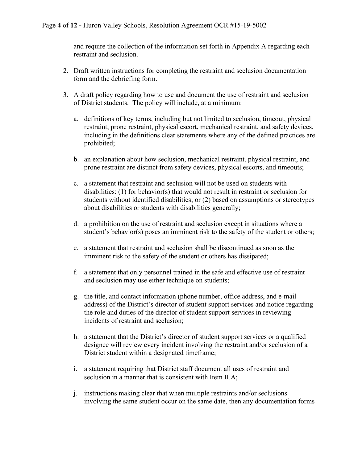and require the collection of the information set forth in Appendix A regarding each restraint and seclusion.

- 2. Draft written instructions for completing the restraint and seclusion documentation form and the debriefing form.
- 3. A draft policy regarding how to use and document the use of restraint and seclusion of District students. The policy will include, at a minimum:
	- a. definitions of key terms, including but not limited to seclusion, timeout, physical restraint, prone restraint, physical escort, mechanical restraint, and safety devices, including in the definitions clear statements where any of the defined practices are prohibited;
	- b. an explanation about how seclusion, mechanical restraint, physical restraint, and prone restraint are distinct from safety devices, physical escorts, and timeouts;
	- c. a statement that restraint and seclusion will not be used on students with disabilities: (1) for behavior(s) that would not result in restraint or seclusion for students without identified disabilities; or (2) based on assumptions or stereotypes about disabilities or students with disabilities generally;
	- d. a prohibition on the use of restraint and seclusion except in situations where a student's behavior(s) poses an imminent risk to the safety of the student or others;
	- e. a statement that restraint and seclusion shall be discontinued as soon as the imminent risk to the safety of the student or others has dissipated;
	- f. a statement that only personnel trained in the safe and effective use of restraint and seclusion may use either technique on students;
	- g. the title, and contact information (phone number, office address, and e-mail address) of the District's director of student support services and notice regarding the role and duties of the director of student support services in reviewing incidents of restraint and seclusion;
	- h. a statement that the District's director of student support services or a qualified designee will review every incident involving the restraint and/or seclusion of a District student within a designated timeframe;
	- i. a statement requiring that District staff document all uses of restraint and seclusion in a manner that is consistent with Item II.A;
	- j. instructions making clear that when multiple restraints and/or seclusions involving the same student occur on the same date, then any documentation forms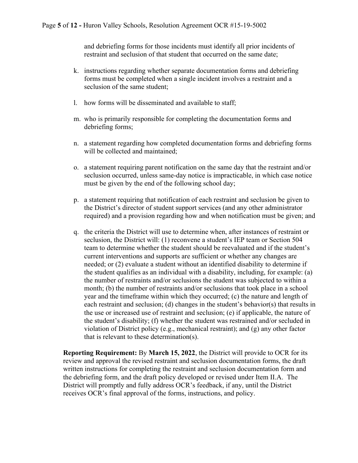and debriefing forms for those incidents must identify all prior incidents of restraint and seclusion of that student that occurred on the same date;

- k. instructions regarding whether separate documentation forms and debriefing forms must be completed when a single incident involves a restraint and a seclusion of the same student;
- l. how forms will be disseminated and available to staff;
- m. who is primarily responsible for completing the documentation forms and debriefing forms;
- n. a statement regarding how completed documentation forms and debriefing forms will be collected and maintained;
- o. a statement requiring parent notification on the same day that the restraint and/or seclusion occurred, unless same-day notice is impracticable, in which case notice must be given by the end of the following school day;
- p. a statement requiring that notification of each restraint and seclusion be given to the District's director of student support services (and any other administrator required) and a provision regarding how and when notification must be given; and
- q. the criteria the District will use to determine when, after instances of restraint or seclusion, the District will: (1) reconvene a student's IEP team or Section 504 team to determine whether the student should be reevaluated and if the student's current interventions and supports are sufficient or whether any changes are needed; or (2) evaluate a student without an identified disability to determine if the student qualifies as an individual with a disability, including, for example: (a) the number of restraints and/or seclusions the student was subjected to within a month; (b) the number of restraints and/or seclusions that took place in a school year and the timeframe within which they occurred; (c) the nature and length of each restraint and seclusion; (d) changes in the student's behavior(s) that results in the use or increased use of restraint and seclusion; (e) if applicable, the nature of the student's disability; (f) whether the student was restrained and/or secluded in violation of District policy (e.g., mechanical restraint); and (g) any other factor that is relevant to these determination(s).

**Reporting Requirement:** By **March 15, 2022**, the District will provide to OCR for its review and approval the revised restraint and seclusion documentation forms, the draft written instructions for completing the restraint and seclusion documentation form and the debriefing form, and the draft policy developed or revised under Item II.A. The District will promptly and fully address OCR's feedback, if any, until the District receives OCR's final approval of the forms, instructions, and policy.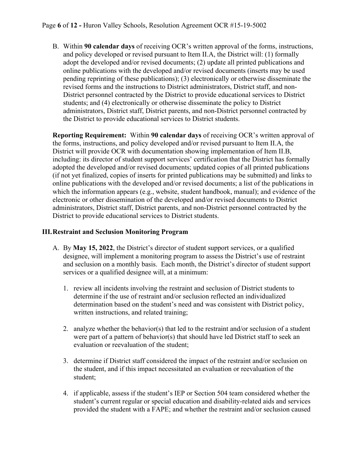B. Within **90 calendar days** of receiving OCR's written approval of the forms, instructions, and policy developed or revised pursuant to Item II.A, the District will: (1) formally adopt the developed and/or revised documents; (2) update all printed publications and online publications with the developed and/or revised documents (inserts may be used pending reprinting of these publications); (3) electronically or otherwise disseminate the revised forms and the instructions to District administrators, District staff, and non-District personnel contracted by the District to provide educational services to District students; and (4) electronically or otherwise disseminate the policy to District administrators, District staff, District parents, and non-District personnel contracted by the District to provide educational services to District students.

**Reporting Requirement:** Within **90 calendar days** of receiving OCR's written approval of the forms, instructions, and policy developed and/or revised pursuant to Item II.A, the District will provide OCR with documentation showing implementation of Item II.B, including: its director of student support services' certification that the District has formally adopted the developed and/or revised documents; updated copies of all printed publications (if not yet finalized, copies of inserts for printed publications may be submitted) and links to online publications with the developed and/or revised documents; a list of the publications in which the information appears (e.g., website, student handbook, manual); and evidence of the electronic or other dissemination of the developed and/or revised documents to District administrators, District staff, District parents, and non-District personnel contracted by the District to provide educational services to District students.

### **III.Restraint and Seclusion Monitoring Program**

- A. By **May 15, 2022**, the District's director of student support services, or a qualified designee, will implement a monitoring program to assess the District's use of restraint and seclusion on a monthly basis. Each month, the District's director of student support services or a qualified designee will, at a minimum:
	- 1. review all incidents involving the restraint and seclusion of District students to determine if the use of restraint and/or seclusion reflected an individualized determination based on the student's need and was consistent with District policy, written instructions, and related training;
	- 2. analyze whether the behavior(s) that led to the restraint and/or seclusion of a student were part of a pattern of behavior(s) that should have led District staff to seek an evaluation or reevaluation of the student;
	- 3. determine if District staff considered the impact of the restraint and/or seclusion on the student, and if this impact necessitated an evaluation or reevaluation of the student;
	- 4. if applicable, assess if the student's IEP or Section 504 team considered whether the student's current regular or special education and disability-related aids and services provided the student with a FAPE; and whether the restraint and/or seclusion caused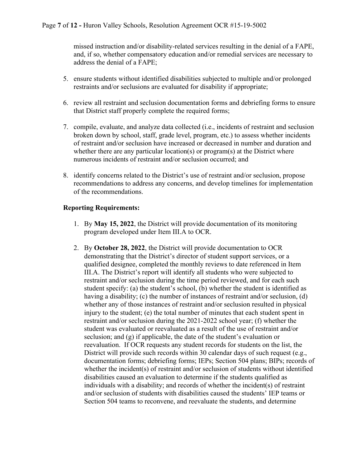missed instruction and/or disability-related services resulting in the denial of a FAPE, and, if so, whether compensatory education and/or remedial services are necessary to address the denial of a FAPE;

- 5. ensure students without identified disabilities subjected to multiple and/or prolonged restraints and/or seclusions are evaluated for disability if appropriate;
- 6. review all restraint and seclusion documentation forms and debriefing forms to ensure that District staff properly complete the required forms;
- 7. compile, evaluate, and analyze data collected (i.e., incidents of restraint and seclusion broken down by school, staff, grade level, program, etc.) to assess whether incidents of restraint and/or seclusion have increased or decreased in number and duration and whether there are any particular location(s) or program(s) at the District where numerous incidents of restraint and/or seclusion occurred; and
- 8. identify concerns related to the District's use of restraint and/or seclusion, propose recommendations to address any concerns, and develop timelines for implementation of the recommendations.

## **Reporting Requirements:**

- 1. By **May 15, 2022**, the District will provide documentation of its monitoring program developed under Item III.A to OCR.
- 2. By **October 28, 2022**, the District will provide documentation to OCR demonstrating that the District's director of student support services, or a qualified designee, completed the monthly reviews to date referenced in Item III.A. The District's report will identify all students who were subjected to restraint and/or seclusion during the time period reviewed, and for each such student specify: (a) the student's school, (b) whether the student is identified as having a disability; (c) the number of instances of restraint and/or seclusion, (d) whether any of those instances of restraint and/or seclusion resulted in physical injury to the student; (e) the total number of minutes that each student spent in restraint and/or seclusion during the 2021-2022 school year; (f) whether the student was evaluated or reevaluated as a result of the use of restraint and/or seclusion; and (g) if applicable, the date of the student's evaluation or reevaluation. If OCR requests any student records for students on the list, the District will provide such records within 30 calendar days of such request (e.g., documentation forms; debriefing forms; IEPs; Section 504 plans; BIPs; records of whether the incident(s) of restraint and/or seclusion of students without identified disabilities caused an evaluation to determine if the students qualified as individuals with a disability; and records of whether the incident(s) of restraint and/or seclusion of students with disabilities caused the students' IEP teams or Section 504 teams to reconvene, and reevaluate the students, and determine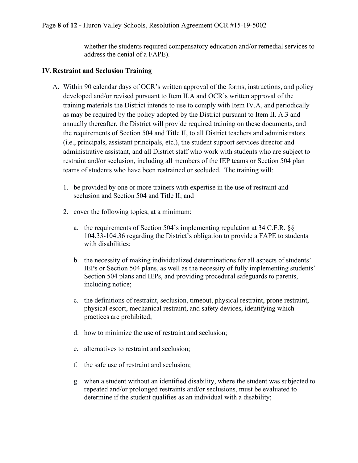whether the students required compensatory education and/or remedial services to address the denial of a FAPE).

### **IV.Restraint and Seclusion Training**

- A. Within 90 calendar days of OCR's written approval of the forms, instructions, and policy developed and/or revised pursuant to Item II.A and OCR's written approval of the training materials the District intends to use to comply with Item IV.A, and periodically as may be required by the policy adopted by the District pursuant to Item II. A.3 and annually thereafter, the District will provide required training on these documents, and the requirements of Section 504 and Title II, to all District teachers and administrators (i.e., principals, assistant principals, etc.), the student support services director and administrative assistant, and all District staff who work with students who are subject to restraint and/or seclusion, including all members of the IEP teams or Section 504 plan teams of students who have been restrained or secluded. The training will:
	- 1. be provided by one or more trainers with expertise in the use of restraint and seclusion and Section 504 and Title II; and
	- 2. cover the following topics, at a minimum:
		- a. the requirements of Section 504's implementing regulation at 34 C.F.R. §§ 104.33-104.36 regarding the District's obligation to provide a FAPE to students with disabilities;
		- b. the necessity of making individualized determinations for all aspects of students' IEPs or Section 504 plans, as well as the necessity of fully implementing students' Section 504 plans and IEPs, and providing procedural safeguards to parents, including notice;
		- c. the definitions of restraint, seclusion, timeout, physical restraint, prone restraint, physical escort, mechanical restraint, and safety devices, identifying which practices are prohibited;
		- d. how to minimize the use of restraint and seclusion;
		- e. alternatives to restraint and seclusion;
		- f. the safe use of restraint and seclusion;
		- g. when a student without an identified disability, where the student was subjected to repeated and/or prolonged restraints and/or seclusions, must be evaluated to determine if the student qualifies as an individual with a disability;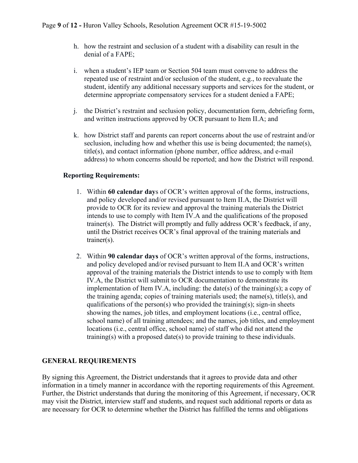- h. how the restraint and seclusion of a student with a disability can result in the denial of a FAPE;
- i. when a student's IEP team or Section 504 team must convene to address the repeated use of restraint and/or seclusion of the student, e.g., to reevaluate the student, identify any additional necessary supports and services for the student, or determine appropriate compensatory services for a student denied a FAPE;
- j. the District's restraint and seclusion policy, documentation form, debriefing form, and written instructions approved by OCR pursuant to Item II.A; and
- k. how District staff and parents can report concerns about the use of restraint and/or seclusion, including how and whether this use is being documented; the name(s), title(s), and contact information (phone number, office address, and e-mail address) to whom concerns should be reported; and how the District will respond.

## **Reporting Requirements:**

- 1. Within **60 calendar day**s of OCR's written approval of the forms, instructions, and policy developed and/or revised pursuant to Item II.A, the District will provide to OCR for its review and approval the training materials the District intends to use to comply with Item IV.A and the qualifications of the proposed trainer(s). The District will promptly and fully address OCR's feedback, if any, until the District receives OCR's final approval of the training materials and trainer(s).
- 2. Within **90 calendar days** of OCR's written approval of the forms, instructions, and policy developed and/or revised pursuant to Item II.A and OCR's written approval of the training materials the District intends to use to comply with Item IV.A, the District will submit to OCR documentation to demonstrate its implementation of Item IV.A, including: the date(s) of the training(s); a copy of the training agenda; copies of training materials used; the name(s), title(s), and qualifications of the person(s) who provided the training(s); sign-in sheets showing the names, job titles, and employment locations (i.e., central office, school name) of all training attendees; and the names, job titles, and employment locations (i.e., central office, school name) of staff who did not attend the training(s) with a proposed date(s) to provide training to these individuals.

# **GENERAL REQUIREMENTS**

By signing this Agreement, the District understands that it agrees to provide data and other information in a timely manner in accordance with the reporting requirements of this Agreement. Further, the District understands that during the monitoring of this Agreement, if necessary, OCR may visit the District, interview staff and students, and request such additional reports or data as are necessary for OCR to determine whether the District has fulfilled the terms and obligations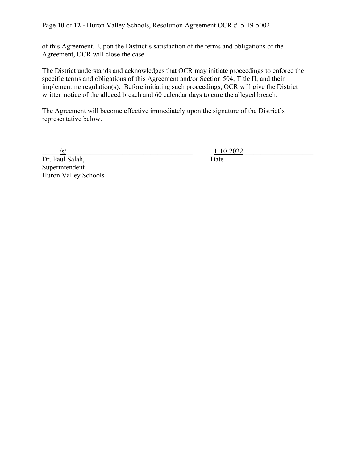Page **10** of **12 -** Huron Valley Schools, Resolution Agreement OCR #15-19-5002

of this Agreement. Upon the District's satisfaction of the terms and obligations of the Agreement, OCR will close the case.

The District understands and acknowledges that OCR may initiate proceedings to enforce the specific terms and obligations of this Agreement and/or Section 504, Title II, and their implementing regulation(s). Before initiating such proceedings, OCR will give the District written notice of the alleged breach and 60 calendar days to cure the alleged breach.

The Agreement will become effective immediately upon the signature of the District's representative below.

Dr. Paul Salah, Date Superintendent Huron Valley Schools

 $\frac{|s|}{1-10-2022}$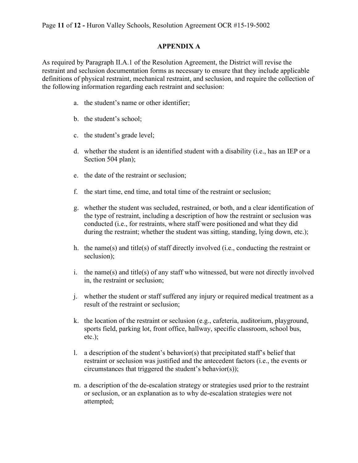#### **APPENDIX A**

As required by Paragraph II.A.1 of the Resolution Agreement, the District will revise the restraint and seclusion documentation forms as necessary to ensure that they include applicable definitions of physical restraint, mechanical restraint, and seclusion, and require the collection of the following information regarding each restraint and seclusion:

- a. the student's name or other identifier;
- b. the student's school;
- c. the student's grade level;
- d. whether the student is an identified student with a disability (i.e., has an IEP or a Section 504 plan);
- e. the date of the restraint or seclusion;
- f. the start time, end time, and total time of the restraint or seclusion;
- g. whether the student was secluded, restrained, or both, and a clear identification of the type of restraint, including a description of how the restraint or seclusion was conducted (i.e., for restraints, where staff were positioned and what they did during the restraint; whether the student was sitting, standing, lying down, etc.);
- h. the name(s) and title(s) of staff directly involved (i.e., conducting the restraint or seclusion);
- i. the name(s) and title(s) of any staff who witnessed, but were not directly involved in, the restraint or seclusion;
- j. whether the student or staff suffered any injury or required medical treatment as a result of the restraint or seclusion;
- k. the location of the restraint or seclusion (e.g., cafeteria, auditorium, playground, sports field, parking lot, front office, hallway, specific classroom, school bus, etc.);
- l. a description of the student's behavior(s) that precipitated staff's belief that restraint or seclusion was justified and the antecedent factors (i.e., the events or circumstances that triggered the student's behavior(s));
- m. a description of the de-escalation strategy or strategies used prior to the restraint or seclusion, or an explanation as to why de-escalation strategies were not attempted;